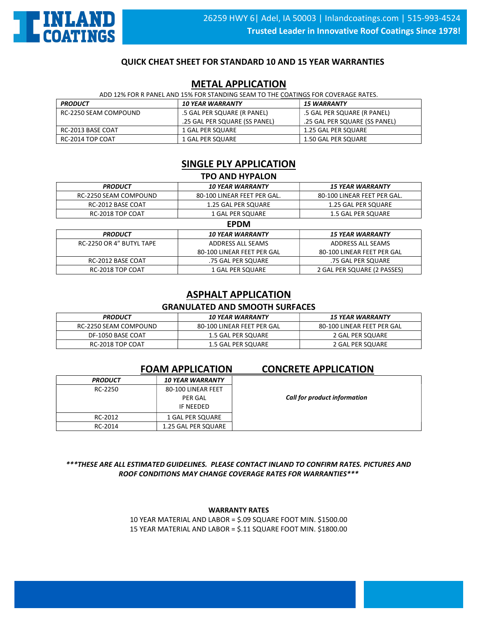

### QUICK CHEAT SHEET FOR STANDARD 10 AND 15 YEAR WARRANTIES

### METAL APPLICATION

| ADD 12% FOR R PANEL AND 15% FOR STANDING SEAM TO THE COATINGS FOR COVERAGE RATES. |                                |                               |
|-----------------------------------------------------------------------------------|--------------------------------|-------------------------------|
| <b>PRODUCT</b>                                                                    | <i><b>10 YEAR WARRANTY</b></i> | <b>15 WARRANTY</b>            |
| RC-2250 SEAM COMPOUND                                                             | .5 GAL PER SQUARE (R PANEL)    | .5 GAL PER SQUARE (R PANEL)   |
|                                                                                   | .25 GAL PER SQUARE (SS PANEL)  | .25 GAL PER SQUARE (SS PANEL) |
| RC-2013 BASE COAT                                                                 | 1 GAL PER SOUARE               | 1.25 GAL PER SQUARE           |
| RC-2014 TOP COAT                                                                  | 1 GAL PER SQUARE               | 1.50 GAL PER SQUARE           |

# SINGLE PLY APPLICATION

| <b>TPO AND HYPALON</b> |                             |                             |
|------------------------|-----------------------------|-----------------------------|
| <b>PRODUCT</b>         | <b>10 YEAR WARRANTY</b>     | <b>15 YEAR WARRANTY</b>     |
| RC-2250 SEAM COMPOUND  | 80-100 LINEAR FEET PER GAL. | 80-100 LINEAR FEET PER GAL. |
| RC-2012 BASE COAT      | 1.25 GAL PER SQUARE         | 1.25 GAL PER SQUARE         |
| RC-2018 TOP COAT       | 1 GAL PER SQUARE            | 1.5 GAL PER SQUARE          |
| <b>FDDM</b>            |                             |                             |

| ----                     |                            |                                |
|--------------------------|----------------------------|--------------------------------|
| <b>PRODUCT</b>           | <b>10 YEAR WARRANTY</b>    | <i><b>15 YEAR WARRANTY</b></i> |
| RC-2250 OR 4" BUTYL TAPE | ADDRESS ALL SEAMS          | ADDRESS ALL SEAMS              |
|                          | 80-100 LINEAR FEET PER GAL | 80-100 LINEAR FEET PER GAL     |
| RC-2012 BASE COAT        | .75 GAL PER SQUARE         | .75 GAL PER SQUARE             |
| RC-2018 TOP COAT         | 1 GAL PER SQUARE           | 2 GAL PER SQUARE (2 PASSES)    |

# ASPHALT APPLICATION

### GRANULATED AND SMOOTH SURFACES

| <b>PRODUCT</b>        | <i><b>10 YEAR WARRANTY</b></i> | <i><b>15 YEAR WARRANTY</b></i> |
|-----------------------|--------------------------------|--------------------------------|
| RC-2250 SEAM COMPOUND | 80-100 LINEAR FEET PER GAL     | 80-100 LINEAR FEET PER GAL     |
| DF-1050 BASE COAT     | 1.5 GAL PER SQUARE             | 2 GAL PER SQUARE               |
| RC-2018 TOP COAT      | 1.5 GAL PER SQUARE             | 2 GAL PER SQUARE               |

### FOAM APPLICATION CONCRETE APPLICATION

### PRODUCT 10 YEAR WARRANTY RC-2250 80-100 LINEAR FEET PER GAL IF NEEDED RC-2012 | 1 GAL PER SQUARE RC-2014 | 1.25 GAL PER SQUARE

Call for product information

\*\*\*THESE ARE ALL ESTIMATED GUIDELINES. PLEASE CONTACT INLAND TO CONFIRM RATES. PICTURES AND ROOF CONDITIONS MAY CHANGE COVERAGE RATES FOR WARRANTIES\*\*\*

### WARRANTY RATES

10 YEAR MATERIAL AND LABOR = \$.09 SQUARE FOOT MIN. \$1500.00 15 YEAR MATERIAL AND LABOR = \$.11 SQUARE FOOT MIN. \$1800.00